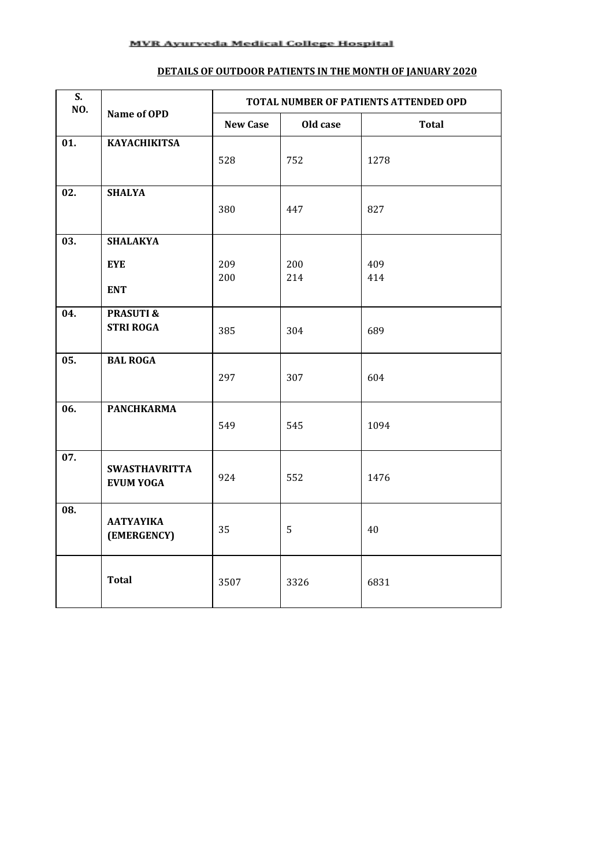#### **DETAILS OF OUTDOOR PATIENTS IN THE MONTH OF JANUARY 2020**

| S.<br>NO. | Name of OPD                                 | TOTAL NUMBER OF PATIENTS ATTENDED OPD |            |              |  |
|-----------|---------------------------------------------|---------------------------------------|------------|--------------|--|
|           |                                             | <b>New Case</b>                       | Old case   | <b>Total</b> |  |
| 01.       | <b>KAYACHIKITSA</b>                         | 528                                   | 752        | 1278         |  |
| 02.       | <b>SHALYA</b>                               | 380                                   | 447        | 827          |  |
| 03.       | <b>SHALAKYA</b><br><b>EYE</b><br><b>ENT</b> | 209<br>200                            | 200<br>214 | 409<br>414   |  |
| 04.       | <b>PRASUTI &amp;</b><br><b>STRI ROGA</b>    | 385                                   | 304        | 689          |  |
| 05.       | <b>BAL ROGA</b>                             | 297                                   | 307        | 604          |  |
| 06.       | <b>PANCHKARMA</b>                           | 549                                   | 545        | 1094         |  |
| 07.       | <b>SWASTHAVRITTA</b><br><b>EVUM YOGA</b>    | 924                                   | 552        | 1476         |  |
| 08.       | <b>AATYAYIKA</b><br>(EMERGENCY)             | 35                                    | 5          | 40           |  |
|           | <b>Total</b>                                | 3507                                  | 3326       | 6831         |  |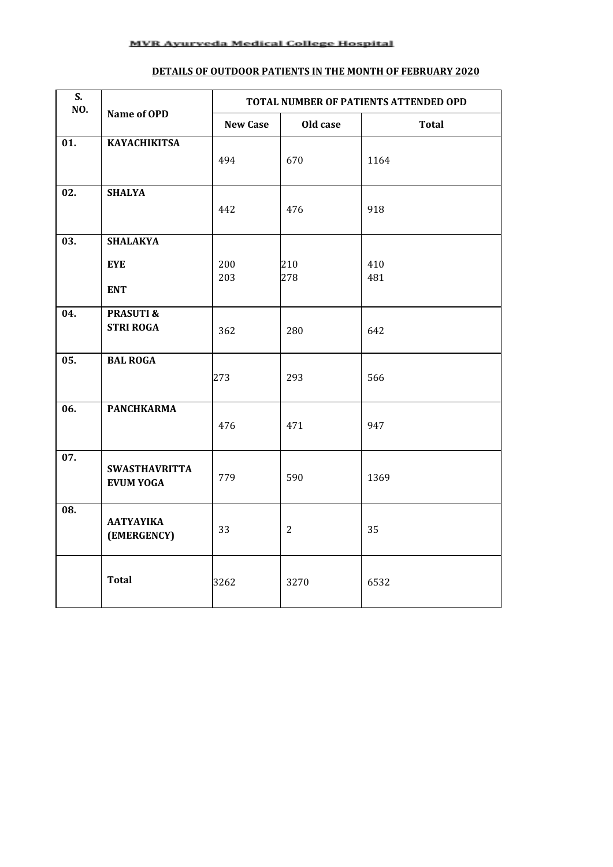#### **DETAILS OF OUTDOOR PATIENTS IN THE MONTH OF FEBRUARY 2020**

| S.<br>NO. | Name of OPD                              | TOTAL NUMBER OF PATIENTS ATTENDED OPD |                |              |  |
|-----------|------------------------------------------|---------------------------------------|----------------|--------------|--|
|           |                                          | <b>New Case</b>                       | Old case       | <b>Total</b> |  |
| 01.       | <b>KAYACHIKITSA</b>                      | 494                                   | 670            | 1164         |  |
|           |                                          |                                       |                |              |  |
| 02.       | <b>SHALYA</b>                            | 442                                   | 476            | 918          |  |
|           |                                          |                                       |                |              |  |
| 03.       | <b>SHALAKYA</b>                          |                                       |                |              |  |
|           | <b>EYE</b>                               | 200<br>203                            | 210<br>278     | 410<br>481   |  |
|           | <b>ENT</b>                               |                                       |                |              |  |
| 04.       | <b>PRASUTI &amp;</b><br><b>STRI ROGA</b> |                                       |                |              |  |
|           |                                          | 362                                   | 280            | 642          |  |
| 05.       | <b>BAL ROGA</b>                          |                                       |                |              |  |
|           |                                          | 273                                   | 293            | 566          |  |
| 06.       | <b>PANCHKARMA</b>                        |                                       |                |              |  |
|           |                                          | 476                                   | 471            | 947          |  |
| 07.       | <b>SWASTHAVRITTA</b>                     |                                       |                |              |  |
|           | <b>EVUM YOGA</b>                         | 779                                   | 590            | 1369         |  |
| 08.       | ΑΑΤΥΑΥΙΚΑ                                |                                       |                |              |  |
|           | (EMERGENCY)                              | 33                                    | $\overline{2}$ | 35           |  |
|           | <b>Total</b>                             | 3262                                  | 3270           | 6532         |  |
|           |                                          |                                       |                |              |  |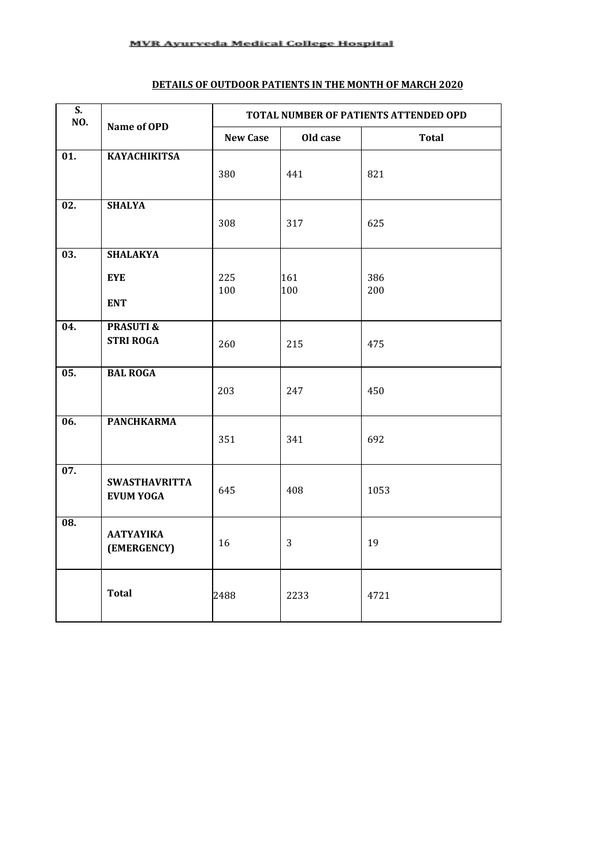#### **DETAILS OF OUTDOOR PATIENTS IN THE MONTH OF MARCH 2020**

| $\overline{\mathsf{S}}$ .<br>NO. | Name of OPD                              | TOTAL NUMBER OF PATIENTS ATTENDED OPD |            |              |  |
|----------------------------------|------------------------------------------|---------------------------------------|------------|--------------|--|
|                                  |                                          | <b>New Case</b>                       | Old case   | <b>Total</b> |  |
| $\overline{01}$ .                | <b>KAYACHIKITSA</b>                      | 380                                   | 441        | 821          |  |
| $\overline{02}$ .                | <b>SHALYA</b>                            | 308                                   | 317        | 625          |  |
| $\overline{03}$ .                | <b>SHALAKYA</b>                          |                                       |            |              |  |
|                                  | <b>EYE</b><br><b>ENT</b>                 | 225<br>100                            | 161<br>100 | 386<br>200   |  |
| 04.                              | <b>PRASUTI &amp;</b><br><b>STRI ROGA</b> | 260                                   | 215        | 475          |  |
| $\overline{05}$ .                | <b>BAL ROGA</b>                          | 203                                   | 247        | 450          |  |
| $\overline{06}$ .                | <b>PANCHKARMA</b>                        | 351                                   | 341        | 692          |  |
| $\overline{07}$ .                | <b>SWASTHAVRITTA</b><br><b>EVUM YOGA</b> | 645                                   | 408        | 1053         |  |
| $\overline{08}$ .                | <b>AATYAYIKA</b><br>(EMERGENCY)          | 16                                    | 3          | 19           |  |
|                                  | <b>Total</b>                             | 2488                                  | 2233       | 4721         |  |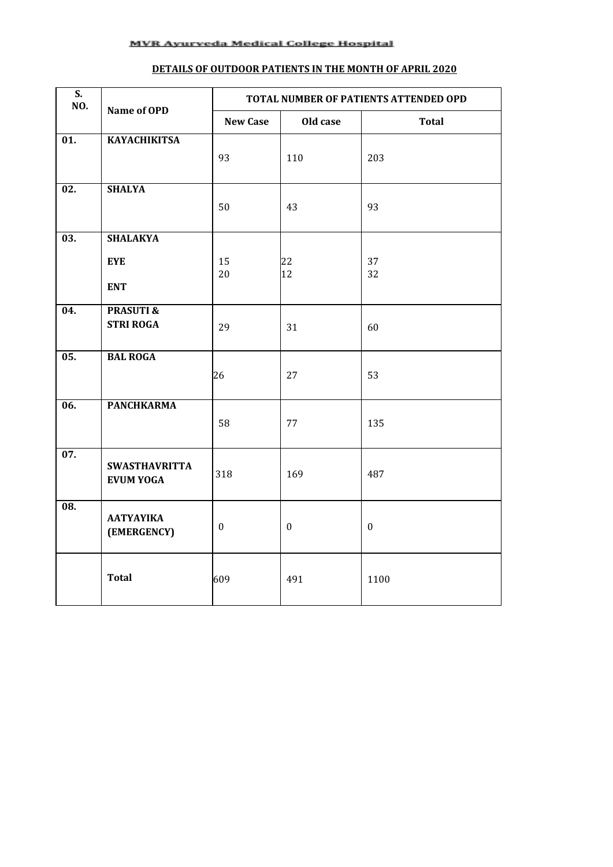## **DETAILS OF OUTDOOR PATIENTS IN THE MONTH OF APRIL 2020**

| $\overline{\mathsf{S}}$ .<br>NO. | Name of OPD                     | TOTAL NUMBER OF PATIENTS ATTENDED OPD |                  |                  |  |
|----------------------------------|---------------------------------|---------------------------------------|------------------|------------------|--|
|                                  |                                 | <b>New Case</b>                       | Old case         | <b>Total</b>     |  |
| $\overline{01}$ .                | <b>KAYACHIKITSA</b>             |                                       |                  |                  |  |
|                                  |                                 | 93                                    | 110              | 203              |  |
| $\overline{02}$ .                | <b>SHALYA</b>                   |                                       |                  |                  |  |
|                                  |                                 | 50                                    | 43               | 93               |  |
|                                  |                                 |                                       |                  |                  |  |
| $\overline{03}$ .                | <b>SHALAKYA</b>                 |                                       |                  |                  |  |
|                                  | <b>EYE</b>                      | 15                                    | 22               | 37               |  |
|                                  | <b>ENT</b>                      | 20                                    | 12               | 32               |  |
| 04.                              | <b>PRASUTI &amp;</b>            |                                       |                  |                  |  |
|                                  | <b>STRI ROGA</b>                | 29                                    | 31               | 60               |  |
|                                  |                                 |                                       |                  |                  |  |
| $\overline{05}$ .                | <b>BAL ROGA</b>                 |                                       |                  |                  |  |
|                                  |                                 | 26                                    | 27               | 53               |  |
| $\overline{06}$ .                | <b>PANCHKARMA</b>               |                                       |                  |                  |  |
|                                  |                                 | 58                                    | 77               | 135              |  |
|                                  |                                 |                                       |                  |                  |  |
| $\overline{07}$ .                | <b>SWASTHAVRITTA</b>            |                                       |                  |                  |  |
|                                  | <b>EVUM YOGA</b>                | 318                                   | 169              | 487              |  |
| $\overline{08}$ .                |                                 |                                       |                  |                  |  |
|                                  | <b>AATYAYIKA</b><br>(EMERGENCY) | $\boldsymbol{0}$                      | $\boldsymbol{0}$ | $\boldsymbol{0}$ |  |
|                                  |                                 |                                       |                  |                  |  |
|                                  |                                 |                                       |                  |                  |  |
|                                  | <b>Total</b>                    | 609                                   | 491              | 1100             |  |
|                                  |                                 |                                       |                  |                  |  |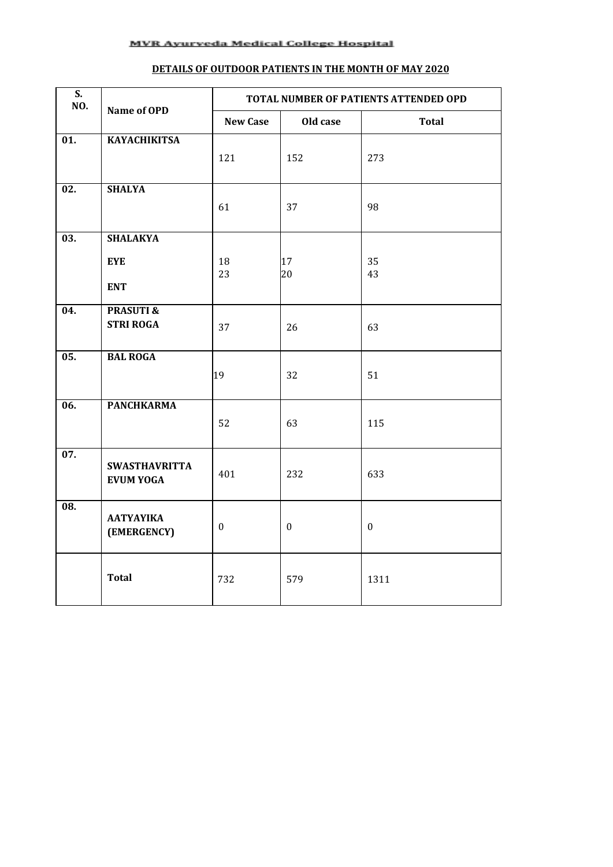## **DETAILS OF OUTDOOR PATIENTS IN THE MONTH OF MAY 2020**

| $\overline{\mathsf{S}}$ .<br>NO. | Name of OPD                     | TOTAL NUMBER OF PATIENTS ATTENDED OPD |                  |                  |  |
|----------------------------------|---------------------------------|---------------------------------------|------------------|------------------|--|
|                                  |                                 | <b>New Case</b>                       | Old case         | <b>Total</b>     |  |
| $\overline{01}$ .                | <b>KAYACHIKITSA</b>             |                                       |                  |                  |  |
|                                  |                                 | 121                                   | 152              | 273              |  |
| $\overline{02}$ .                | <b>SHALYA</b>                   |                                       |                  |                  |  |
|                                  |                                 | 61                                    | 37               | 98               |  |
|                                  |                                 |                                       |                  |                  |  |
| $\overline{03}$ .                | <b>SHALAKYA</b>                 |                                       |                  |                  |  |
|                                  | <b>EYE</b>                      | 18                                    | 17               | 35               |  |
|                                  | <b>ENT</b>                      | 23                                    | 20               | 43               |  |
| 04.                              | <b>PRASUTI &amp;</b>            |                                       |                  |                  |  |
|                                  | <b>STRI ROGA</b>                | 37                                    | 26               | 63               |  |
|                                  |                                 |                                       |                  |                  |  |
| $\overline{05}$ .                | <b>BAL ROGA</b>                 |                                       |                  |                  |  |
|                                  |                                 | 19                                    | 32               | 51               |  |
| 06.                              | <b>PANCHKARMA</b>               |                                       |                  |                  |  |
|                                  |                                 | 52                                    | 63               | 115              |  |
|                                  |                                 |                                       |                  |                  |  |
| $\overline{07}$ .                | <b>SWASTHAVRITTA</b>            |                                       |                  |                  |  |
|                                  | <b>EVUM YOGA</b>                | 401                                   | 232              | 633              |  |
| $\overline{08}$ .                |                                 |                                       |                  |                  |  |
|                                  | <b>AATYAYIKA</b><br>(EMERGENCY) | $\boldsymbol{0}$                      | $\boldsymbol{0}$ | $\boldsymbol{0}$ |  |
|                                  |                                 |                                       |                  |                  |  |
|                                  |                                 |                                       |                  |                  |  |
|                                  | <b>Total</b>                    | 732                                   | 579              | 1311             |  |
|                                  |                                 |                                       |                  |                  |  |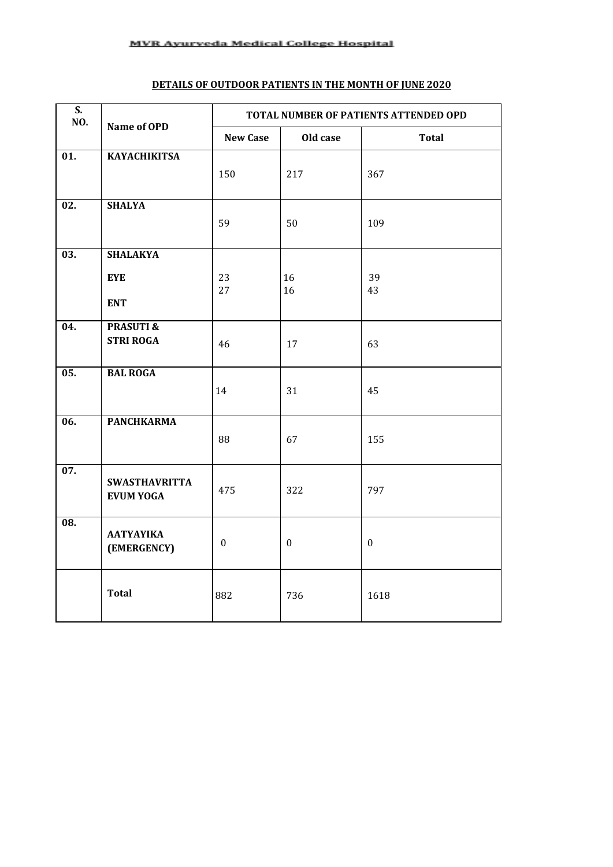# **DETAILS OF OUTDOOR PATIENTS IN THE MONTH OF JUNE 2020**

| $\overline{\mathbf{S}}$ .<br>NO. | Name of OPD          | TOTAL NUMBER OF PATIENTS ATTENDED OPD |              |              |  |
|----------------------------------|----------------------|---------------------------------------|--------------|--------------|--|
|                                  |                      | <b>New Case</b>                       | Old case     | <b>Total</b> |  |
| $\overline{01}$ .                | <b>KAYACHIKITSA</b>  | 150                                   | 217          | 367          |  |
|                                  |                      |                                       |              |              |  |
| $\overline{02}$ .                | <b>SHALYA</b>        | 59                                    | 50           | 109          |  |
|                                  |                      |                                       |              |              |  |
| $\overline{03}$ .                | <b>SHALAKYA</b>      |                                       |              |              |  |
|                                  | <b>EYE</b>           | 23                                    | 16           | 39           |  |
|                                  | <b>ENT</b>           | 27                                    | 16           | 43           |  |
| 04.                              | <b>PRASUTI &amp;</b> |                                       |              |              |  |
|                                  | <b>STRI ROGA</b>     | 46                                    | 17           | 63           |  |
| $\overline{05}$ .                | <b>BAL ROGA</b>      |                                       |              |              |  |
|                                  |                      | 14                                    | 31           | 45           |  |
| $\overline{06}$ .                | <b>PANCHKARMA</b>    |                                       |              |              |  |
|                                  |                      | 88                                    | 67           | 155          |  |
| 07.                              | <b>SWASTHAVRITTA</b> |                                       |              |              |  |
|                                  | <b>EVUM YOGA</b>     | 475                                   | 322          | 797          |  |
| $\overline{08}$ .                | <b>AATYAYIKA</b>     |                                       |              |              |  |
|                                  | (EMERGENCY)          | $\boldsymbol{0}$                      | $\mathbf{0}$ | $\mathbf{0}$ |  |
|                                  | <b>Total</b>         | 882                                   | 736          | 1618         |  |
|                                  |                      |                                       |              |              |  |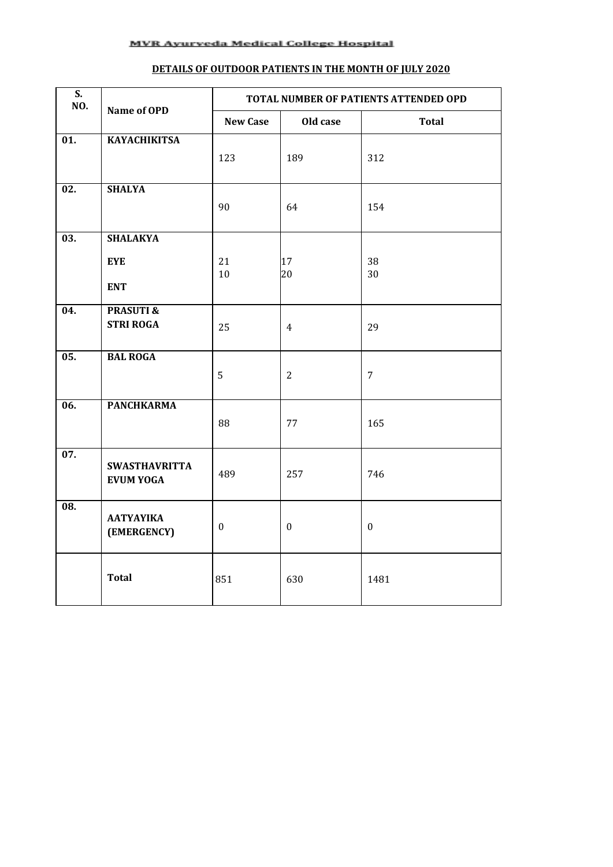## **DETAILS OF OUTDOOR PATIENTS IN THE MONTH OF JULY 2020**

| $\overline{\mathbf{S}}$ .<br>NO. | Name of OPD                              | TOTAL NUMBER OF PATIENTS ATTENDED OPD |                  |              |  |
|----------------------------------|------------------------------------------|---------------------------------------|------------------|--------------|--|
|                                  |                                          | <b>New Case</b>                       | Old case         | <b>Total</b> |  |
| $\overline{01}$ .                | <b>KAYACHIKITSA</b>                      |                                       |                  |              |  |
|                                  |                                          | 123                                   | 189              | 312          |  |
| $\overline{02}$ .                | <b>SHALYA</b>                            |                                       |                  |              |  |
|                                  |                                          | 90                                    | 64               | 154          |  |
| $\overline{03}$ .                | <b>SHALAKYA</b>                          |                                       |                  |              |  |
|                                  | <b>EYE</b>                               | 21                                    | 17               | 38           |  |
|                                  | <b>ENT</b>                               | 10                                    | 20               | 30           |  |
| 04.                              | <b>PRASUTI &amp;</b><br><b>STRI ROGA</b> |                                       |                  |              |  |
|                                  |                                          | 25                                    | $\overline{4}$   | 29           |  |
| $\overline{05}$ .                | <b>BAL ROGA</b>                          |                                       |                  |              |  |
|                                  |                                          | 5                                     | $\overline{2}$   | 7            |  |
| $\overline{06}$ .                | <b>PANCHKARMA</b>                        |                                       |                  |              |  |
|                                  |                                          | 88                                    | 77               | 165          |  |
| 07.                              | <b>SWASTHAVRITTA</b>                     |                                       |                  |              |  |
|                                  | <b>EVUM YOGA</b>                         | 489                                   | 257              | 746          |  |
| $\overline{08}$ .                | ΑΑΤΥΑΥΙΚΑ                                |                                       |                  |              |  |
|                                  | (EMERGENCY)                              | $\mathbf{0}$                          | $\boldsymbol{0}$ | $\mathbf{0}$ |  |
|                                  | <b>Total</b>                             | 851                                   | 630              | 1481         |  |
|                                  |                                          |                                       |                  |              |  |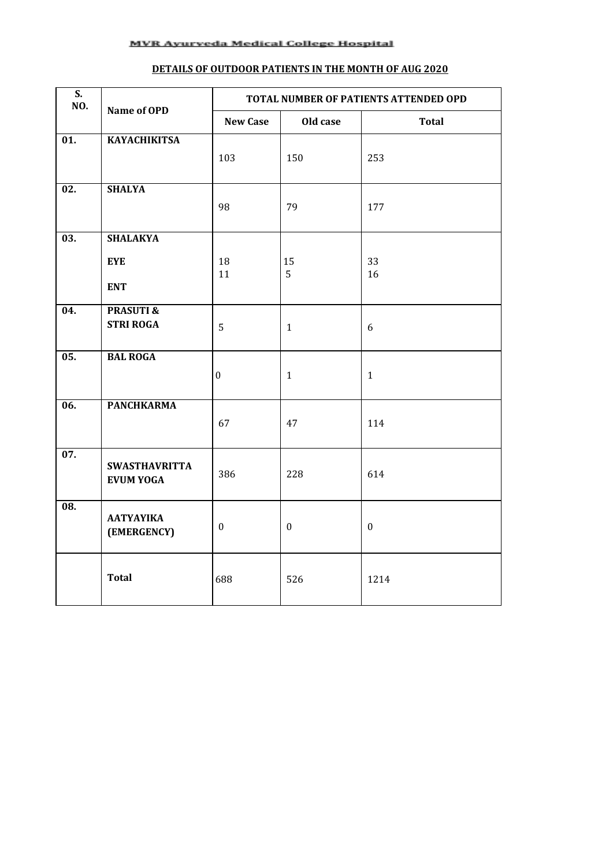## **DETAILS OF OUTDOOR PATIENTS IN THE MONTH OF AUG 2020**

| $\overline{\mathbf{S}}$ .<br>NO. | Name of OPD                              | TOTAL NUMBER OF PATIENTS ATTENDED OPD |                  |                  |  |
|----------------------------------|------------------------------------------|---------------------------------------|------------------|------------------|--|
|                                  |                                          | <b>New Case</b>                       | Old case         | <b>Total</b>     |  |
| $\overline{01}$ .                | <b>KAYACHIKITSA</b>                      | 103                                   | 150              | 253              |  |
| $\overline{02}$ .                | <b>SHALYA</b>                            |                                       |                  |                  |  |
|                                  |                                          | 98                                    | 79               | 177              |  |
| $\overline{03}$ .                | <b>SHALAKYA</b>                          |                                       |                  |                  |  |
|                                  | <b>EYE</b><br><b>ENT</b>                 | 18<br>11                              | 15<br>5          | 33<br>16         |  |
| $\overline{04}$ .                | <b>PRASUTI &amp;</b>                     |                                       |                  |                  |  |
|                                  | <b>STRI ROGA</b>                         | 5                                     | $\mathbf{1}$     | $6\,$            |  |
| $\overline{05}$ .                | <b>BAL ROGA</b>                          | $\boldsymbol{0}$                      | $\mathbf{1}$     | $\mathbf{1}$     |  |
| $\overline{06}$ .                | <b>PANCHKARMA</b>                        | 67                                    | 47               | 114              |  |
| $\overline{07}$ .                | <b>SWASTHAVRITTA</b><br><b>EVUM YOGA</b> | 386                                   | 228              | 614              |  |
| $\overline{08}$ .                | <b>AATYAYIKA</b><br>(EMERGENCY)          | $\mathbf{0}$                          | $\boldsymbol{0}$ | $\boldsymbol{0}$ |  |
|                                  | <b>Total</b>                             | 688                                   | 526              | 1214             |  |